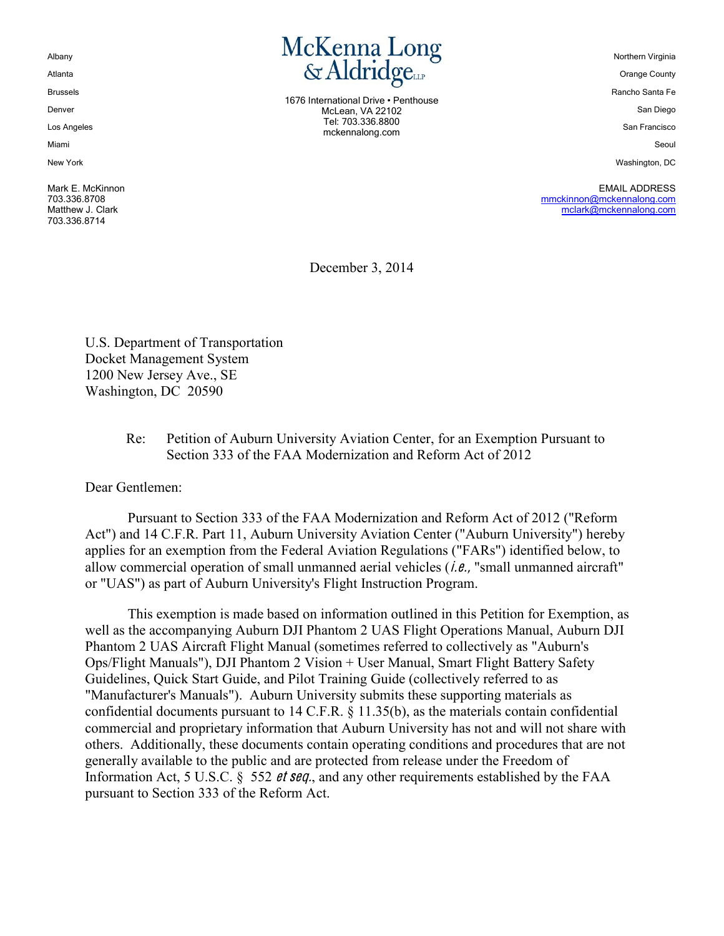Albany

Atlanta

Brussels

Denver

Los Angeles

Miami

New'York

Mark E. McKinnon 703.336.8708 Matthew J. Clark 703.336.8714



1676 International Drive • Penthouse McLean, VA 22102 Tel:'703.336.8800 mckennalong.com

Northern Virginia

**Orange County** 

Rancho Santa Fe

San Diego

San Francisco

Seoul

Washington, DC

EMAIL ADDRESS mmckinnon@mckennalong.com mclark@mckennalong.com

December 3, 2014

U.S. Department of Transportation Docket Management System 1200 New Jersey Ave., SE Washington, DC 20590

#### Re: Petition of Auburn University Aviation Center, for an Exemption Pursuant to Section 333 of the FAA Modernization and Reform Act of 2012

Dear Gentlemen:

Pursuant to Section 333 of the FAA Modernization and Reform Act of 2012 ("Reform Act") and 14 C.F.R. Part 11, Auburn University Aviation Center ("Auburn University") hereby applies for an exemption from the Federal Aviation Regulations ("FARs") identified below, to allow commercial operation of small unmanned aerial vehicles  $(i.e., "small unmanuel aircraft"$ or "UAS") as part of Auburn University's Flight Instruction Program.

This exemption is made based on information outlined in this Petition for Exemption, as well as the accompanying Auburn DJI Phantom 2 UAS Flight Operations Manual, Auburn DJI Phantom 2 UAS Aircraft Flight Manual (sometimes referred to collectively as "Auburn's Ops/Flight Manuals"), DJI Phantom 2 Vision + User Manual, Smart Flight Battery Safety Guidelines, Quick Start Guide, and Pilot Training Guide (collectively referred to as "Manufacturer's Manuals"). Auburn University submits these supporting materials as confidential documents pursuant to 14 C.F.R. § 11.35(b), as the materials contain confidential commercial and proprietary information that Auburn University has not and will not share with others. Additionally, these documents contain operating conditions and procedures that are not generally available to the public and are protected from release under the Freedom of Information Act, 5 U.S.C. § 552 *et seq.*, and any other requirements established by the FAA pursuant to Section 333 of the Reform Act.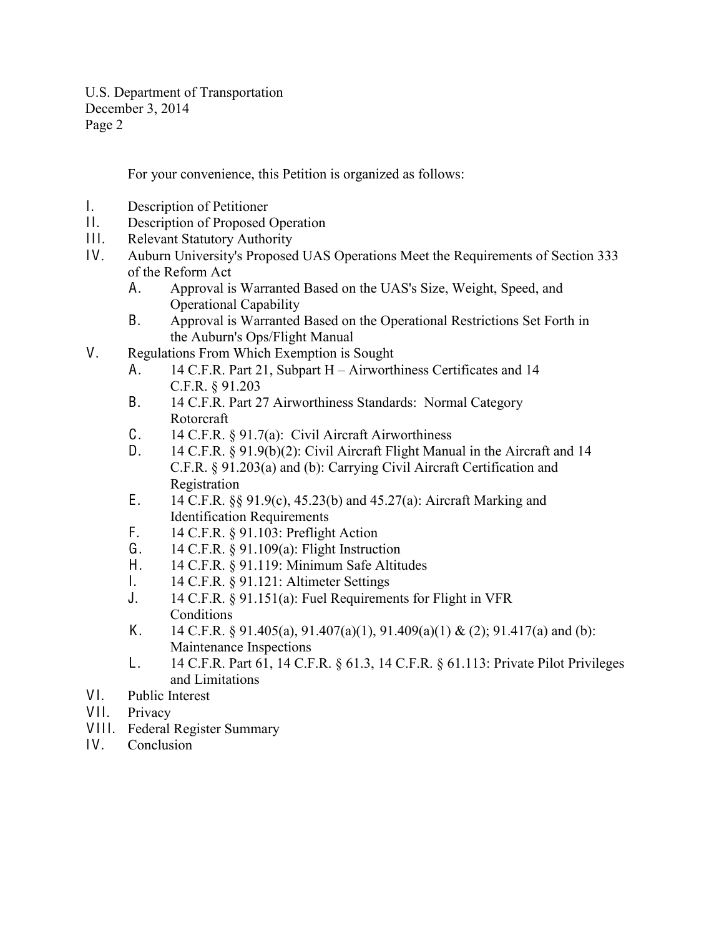For your convenience, this Petition is organized as follows:

- I. Description of Petitioner
- II. Description of Proposed Operation
- III. Relevant Statutory Authority
- I V. Auburn University's Proposed UAS Operations Meet the Requirements of Section 333 of the Reform Act
	- A. Approval is Warranted Based on the UAS's Size, Weight, Speed, and Operational Capability
	- B. Approval is Warranted Based on the Operational Restrictions Set Forth in the Auburn's Ops/Flight Manual
- V. Regulations From Which Exemption is Sought
	- A.  $14$  C.F.R. Part 21, Subpart H Airworthiness Certificates and 14 C.F.R. § 91.203
	- B. 14 C.F.R. Part 27 Airworthiness Standards: Normal Category Rotorcraft
	- C. 14 C.F.R. § 91.7(a): Civil Aircraft Airworthiness
	- D. 14 C.F.R. § 91.9(b)(2): Civil Aircraft Flight Manual in the Aircraft and 14 C.F.R. § 91.203(a) and (b): Carrying Civil Aircraft Certification and Registration
	- E. 14 C.F.R. §§ 91.9(c), 45.23(b) and 45.27(a): Aircraft Marking and Identification Requirements
	- F. 14 C.F.R. § 91.103: Preflight Action
	- G. 14 C.F.R. § 91.109(a): Flight Instruction
	- H. 14 C.F.R. § 91.119: Minimum Safe Altitudes
	- I. 14 C.F.R. § 91.121: Altimeter Settings
	- J. 14 C.F.R. § 91.151(a): Fuel Requirements for Flight in VFR Conditions
	- K. 14 C.F.R. § 91.405(a), 91.407(a)(1), 91.409(a)(1) & (2); 91.417(a) and (b): Maintenance Inspections
	- L. 14 C.F.R. Part 61, 14 C.F.R. § 61.3, 14 C.F.R. § 61.113: Private Pilot Privileges and Limitations
- VI. Public Interest
- VII. Privacy
- VIII. Federal Register Summary
- IV. Conclusion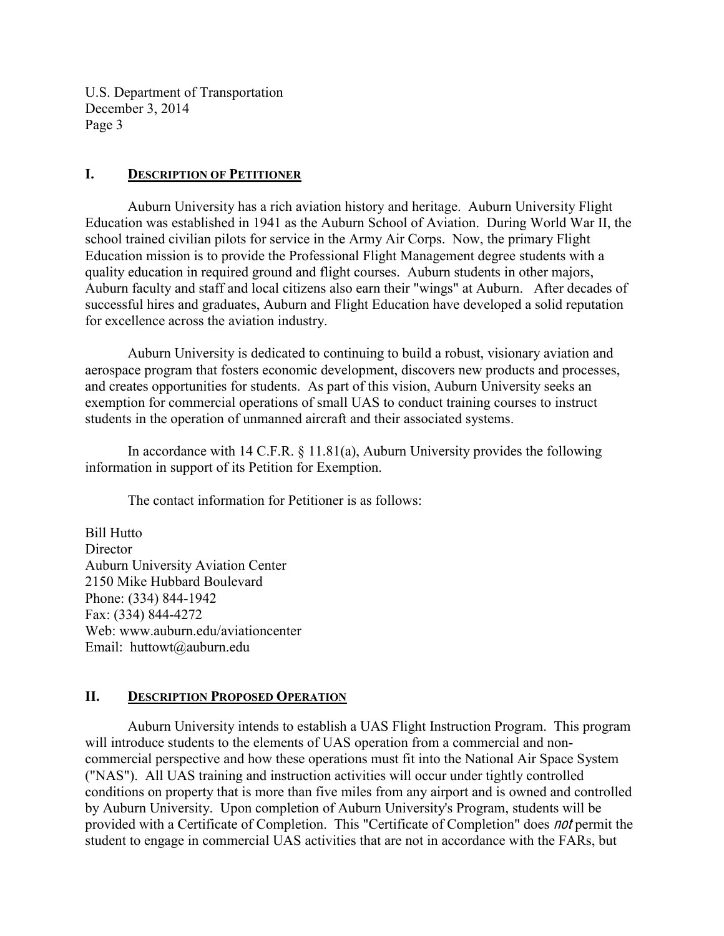#### **I. DESCRIPTION OF PETITIONER**

Auburn University has a rich aviation history and heritage. Auburn University Flight Education was established in 1941 as the Auburn School of Aviation. During World War II, the school trained civilian pilots for service in the Army Air Corps. Now, the primary Flight Education mission is to provide the Professional Flight Management degree students with a quality education in required ground and flight courses. Auburn students in other majors, Auburn faculty and staff and local citizens also earn their "wings" at Auburn. After decades of successful hires and graduates, Auburn and Flight Education have developed a solid reputation for excellence across the aviation industry.

Auburn University is dedicated to continuing to build a robust, visionary aviation and aerospace program that fosters economic development, discovers new products and processes, and creates opportunities for students. As part of this vision, Auburn University seeks an exemption for commercial operations of small UAS to conduct training courses to instruct students in the operation of unmanned aircraft and their associated systems.

In accordance with 14 C.F.R. § 11.81(a), Auburn University provides the following information in support of its Petition for Exemption.

The contact information for Petitioner is as follows:

Bill Hutto **Director** Auburn University Aviation Center 2150 Mike Hubbard Boulevard Phone: (334) 844-1942 Fax: (334) 844-4272 Web: www.auburn.edu/aviationcenter Email: huttowt@auburn.edu

## **II. DESCRIPTION PROPOSED OPERATION**

Auburn University intends to establish a UAS Flight Instruction Program. This program will introduce students to the elements of UAS operation from a commercial and noncommercial perspective and how these operations must fit into the National Air Space System ("NAS"). All UAS training and instruction activities will occur under tightly controlled conditions on property that is more than five miles from any airport and is owned and controlled by Auburn University. Upon completion of Auburn University's Program, students will be provided with a Certificate of Completion. This "Certificate of Completion" does no<sup>t</sup> permit the student to engage in commercial UAS activities that are not in accordance with the FARs, but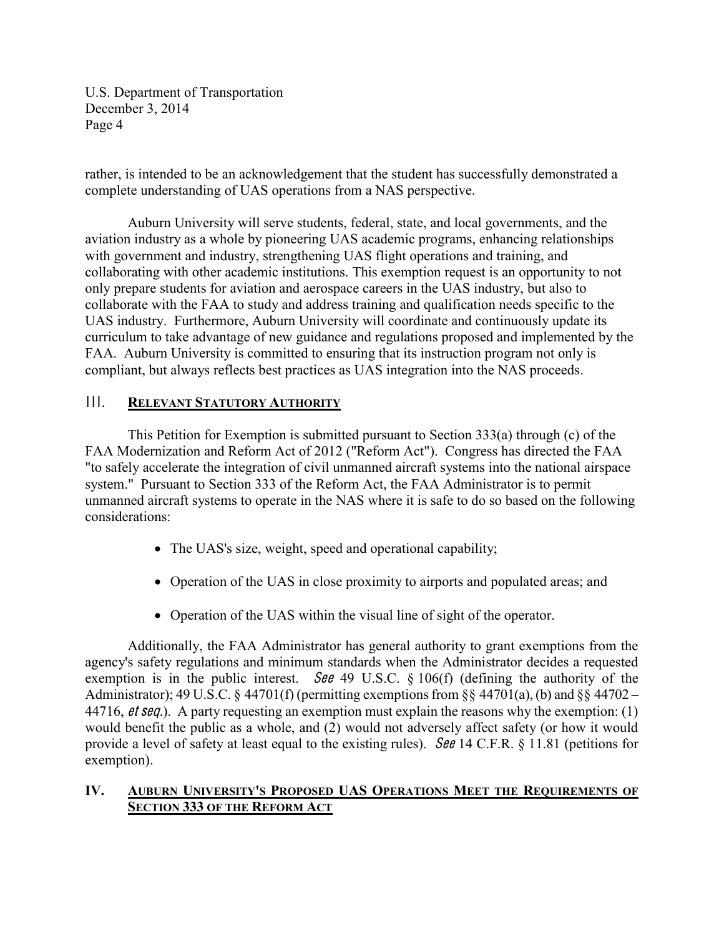rather, is intended to be an acknowledgement that the student has successfully demonstrated a complete understanding of UAS operations from a NAS perspective.

Auburn University will serve students, federal, state, and local governments, and the aviation industry as a whole by pioneering UAS academic programs, enhancing relationships with government and industry, strengthening UAS flight operations and training, and collaborating with other academic institutions. This exemption request is an opportunity to not only prepare students for aviation and aerospace careers in the UAS industry, but also to collaborate with the FAA to study and address training and qualification needs specific to the UAS industry. Furthermore, Auburn University will coordinate and continuously update its curriculum to take advantage of new guidance and regulations proposed and implemented by the FAA. Auburn University is committed to ensuring that its instruction program not only is compliant, but always reflects best practices as UAS integration into the NAS proceeds.

#### **III.** RELEVANT STATUTORY AUTHORITY

This Petition for Exemption is submitted pursuant to Section 333(a) through (c) of the FAA Modernization and Reform Act of 2012 ("Reform Act"). Congress has directed the FAA "to safely accelerate the integration of civil unmanned aircraft systems into the national airspace system." Pursuant to Section 333 of the Reform Act, the FAA Administrator is to permit unmanned aircraft systems to operate in the NAS where it is safe to do so based on the following considerations:

- The UAS's size, weight, speed and operational capability;
- Operation of the UAS in close proximity to airports and populated areas; and
- Operation of the UAS within the visual line of sight of the operator.

Additionally, the FAA Administrator has general authority to grant exemptions from the agency's safety regulations and minimum standards when the Administrator decides a requested exemption is in the public interest. See 49 U.S.C.  $\S$  106(f) (defining the authority of the Administrator); 49 U.S.C. § 44701(f) (permitting exemptions from §§ 44701(a), (b) and §§ 44702 – 44716, *et seq.*). A party requesting an exemption must explain the reasons why the exemption: (1) would benefit the public as a whole, and (2) would not adversely affect safety (or how it would provide a level of safety at least equal to the existing rules). See 14 C.F.R. § 11.81 (petitions for exemption).

## **IV.** AUBURN UNIVERSITY'S PROPOSED UAS OPERATIONS MEET THE REQUIREMENTS OF **SECTION 333 OF THE REFORM ACT**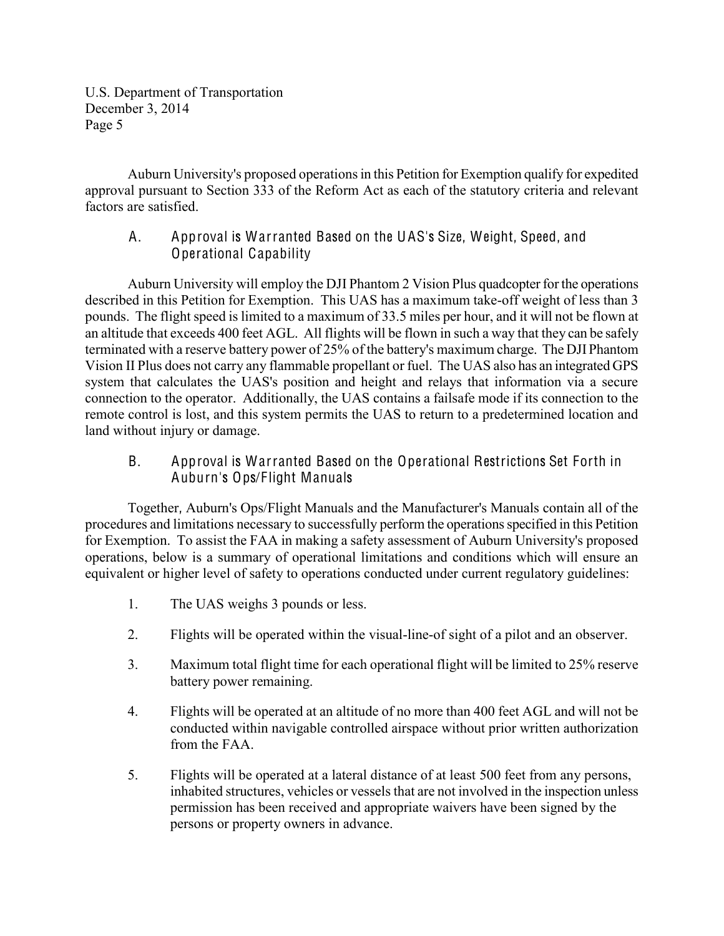Auburn University's proposed operations in this Petition for Exemption qualify for expedited approval pursuant to Section 333 of the Reform Act as each of the statutory criteria and relevant factors are satisfied.

## A. Approval is Warranted Based on the UAS's Size, Weight, Speed, and Operational Capability

Auburn University will employ the DJI Phantom 2 Vision Plus quadcopter for the operations described in this Petition for Exemption. This UAS has a maximum take-off weight of less than 3 pounds. The flight speed is limited to a maximum of 33.5 miles per hour, and it will not be flown at an altitude that exceeds 400 feet AGL. All flights will be flown in such a way that they can be safely terminated with a reserve battery power of 25% of the battery's maximum charge. The DJI Phantom Vision II Plus does not carry any flammable propellant or fuel. The UAS also has an integrated GPS system that calculates the UAS's position and height and relays that information via a secure connection to the operator. Additionally, the UAS contains a failsafe mode if its connection to the remote control is lost, and this system permits the UAS to return to a predetermined location and land without injury or damage.

## B. Approval is Warranted Based on the Operational Restrictions Set Forth in Auburn's Ops/Flight Manuals

Together, Auburn's Ops/Flight Manuals and the Manufacturer's Manuals contain all of the procedures and limitations necessary to successfully perform the operations specified in this Petition for Exemption. To assist the FAA in making a safety assessment of Auburn University's proposed operations, below is a summary of operational limitations and conditions which will ensure an equivalent or higher level of safety to operations conducted under current regulatory guidelines:

- 1. The UAS weighs 3 pounds or less.
- 2. Flights will be operated within the visual-line-of sight of a pilot and an observer.
- 3. Maximum total flight time for each operational flight will be limited to 25% reserve battery power remaining.
- 4. Flights will be operated at an altitude of no more than 400 feet AGL and will not be conducted within navigable controlled airspace without prior written authorization from the FAA.
- 5. Flights will be operated at a lateral distance of at least 500 feet from any persons, inhabited structures, vehicles or vessels that are not involved in the inspection unless permission has been received and appropriate waivers have been signed by the persons or property owners in advance.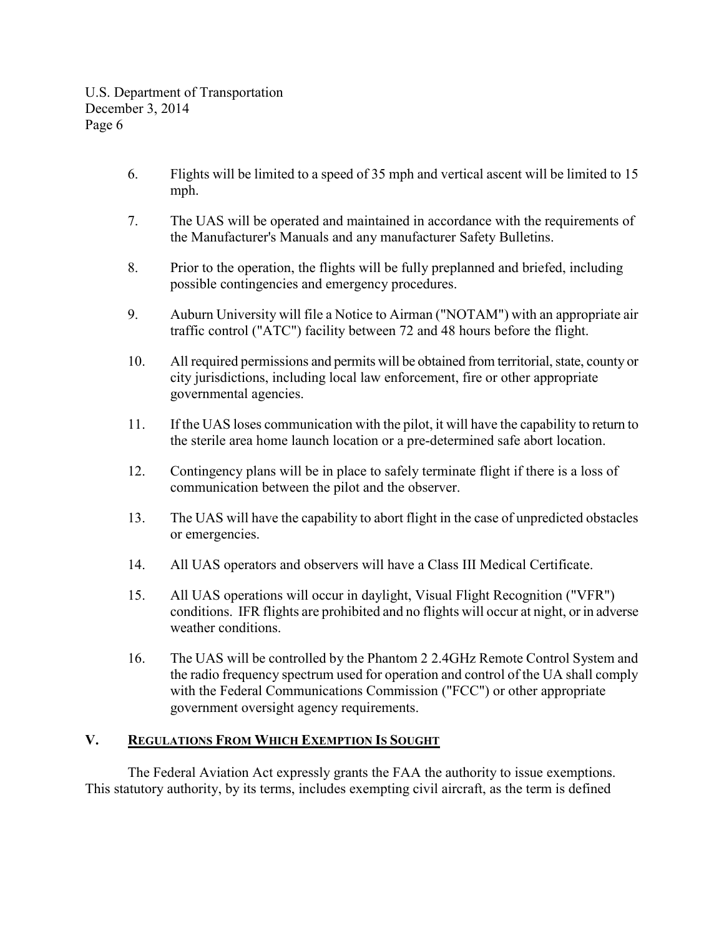- 6. Flights will be limited to a speed of 35 mph and vertical ascent will be limited to 15 mph.
- 7. The UAS will be operated and maintained in accordance with the requirements of the Manufacturer's Manuals and any manufacturer Safety Bulletins.
- 8. Prior to the operation, the flights will be fully preplanned and briefed, including possible contingencies and emergency procedures.
- 9. Auburn University will file a Notice to Airman ("NOTAM") with an appropriate air traffic control ("ATC") facility between 72 and 48 hours before the flight.
- 10. All required permissions and permits will be obtained from territorial, state, county or city jurisdictions, including local law enforcement, fire or other appropriate governmental agencies.
- 11. If the UAS loses communication with the pilot, it will have the capability to return to the sterile area home launch location or a pre-determined safe abort location.
- 12. Contingency plans will be in place to safely terminate flight if there is a loss of communication between the pilot and the observer.
- 13. The UAS will have the capability to abort flight in the case of unpredicted obstacles or emergencies.
- 14. All UAS operators and observers will have a Class III Medical Certificate.
- 15. All UAS operations will occur in daylight, Visual Flight Recognition ("VFR") conditions. IFR flights are prohibited and no flights will occur at night, or in adverse weather conditions.
- 16. The UAS will be controlled by the Phantom 2 2.4GHz Remote Control System and the radio frequency spectrum used for operation and control of the UA shall comply with the Federal Communications Commission ("FCC") or other appropriate government oversight agency requirements.

## **V. REGULATIONS FROM WHICH EXEMPTION IS SOUGHT**

The Federal Aviation Act expressly grants the FAA the authority to issue exemptions. This statutory authority, by its terms, includes exempting civil aircraft, as the term is defined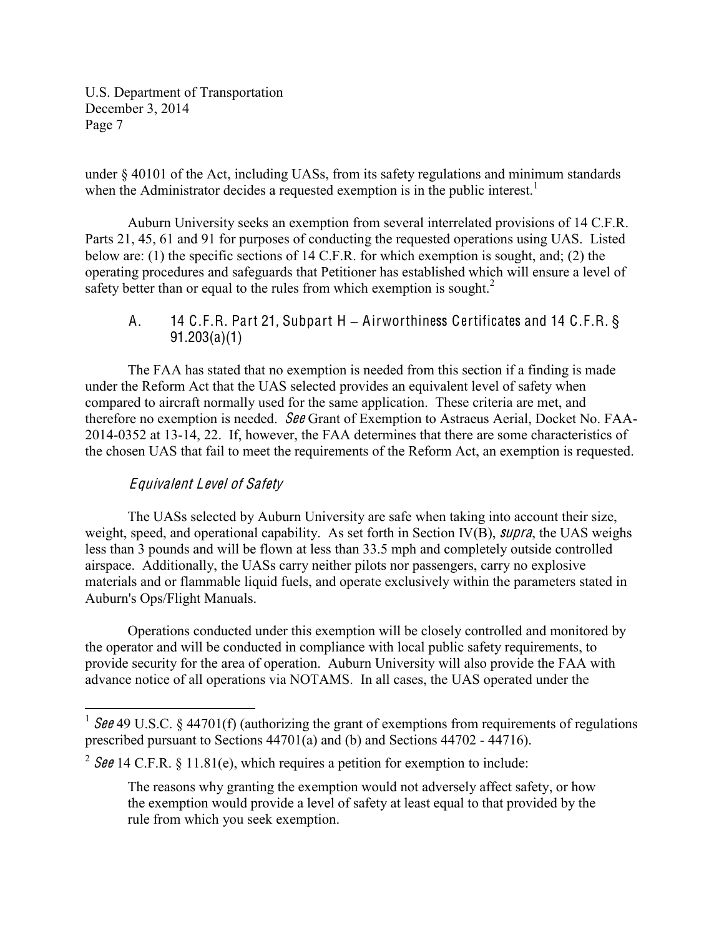under § 40101 of the Act, including UASs, from its safety regulations and minimum standards when the Administrator decides a requested exemption is in the public interest.<sup>1</sup>

Auburn University seeks an exemption from several interrelated provisions of 14 C.F.R. Parts 21, 45, 61 and 91 for purposes of conducting the requested operations using UAS. Listed below are: (1) the specific sections of 14 C.F.R. for which exemption is sought, and; (2) the operating procedures and safeguards that Petitioner has established which will ensure a level of safety better than or equal to the rules from which exemption is sought.<sup>2</sup>

A. 14 C.F.R. Part 21, Subpart H **±** Airworthiness Certificates and 14 C.F.R. § 91.203(a)(1)

The FAA has stated that no exemption is needed from this section if a finding is made under the Reform Act that the UAS selected provides an equivalent level of safety when compared to aircraft normally used for the same application. These criteria are met, and therefore no exemption is needed. See Grant of Exemption to Astraeus Aerial, Docket No. FAA-2014-0352 at 13-14, 22. If, however, the FAA determines that there are some characteristics of the chosen UAS that fail to meet the requirements of the Reform Act, an exemption is requested.

# Equival<sup>e</sup>nt Level of Safety

The UASs selected by Auburn University are safe when taking into account their size, weight, speed, and operational capability. As set forth in Section IV(B), *supra*, the UAS weighs less than 3 pounds and will be flown at less than 33.5 mph and completely outside controlled airspace. Additionally, the UASs carry neither pilots nor passengers, carry no explosive materials and or flammable liquid fuels, and operate exclusively within the parameters stated in Auburn's Ops/Flight Manuals.

Operations conducted under this exemption will be closely controlled and monitored by the operator and will be conducted in compliance with local public safety requirements, to provide security for the area of operation. Auburn University will also provide the FAA with advance notice of all operations via NOTAMS. In all cases, the UAS operated under the

<sup>&</sup>lt;sup>1</sup> See 49 U.S.C. § 44701(f) (authorizing the grant of exemptions from requirements of regulations prescribed pursuant to Sections 44701(a) and (b) and Sections 44702 - 44716).

<sup>&</sup>lt;sup>2</sup> See 14 C.F.R. § 11.81(e), which requires a petition for exemption to include:

The reasons why granting the exemption would not adversely affect safety, or how the exemption would provide a level of safety at least equal to that provided by the rule from which you seek exemption.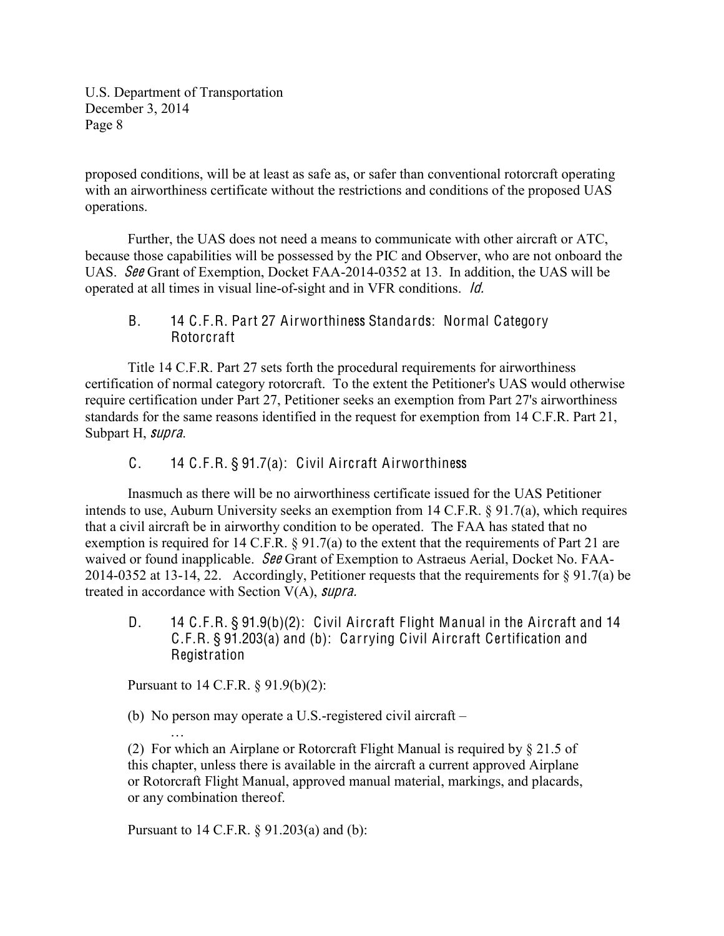proposed conditions, will be at least as safe as, or safer than conventional rotorcraft operating with an airworthiness certificate without the restrictions and conditions of the proposed UAS operations.

Further, the UAS does not need a means to communicate with other aircraft or ATC, because those capabilities will be possessed by the PIC and Observer, who are not onboard the UAS. See Grant of Exemption, Docket FAA-2014-0352 at 13. In addition, the UAS will be operated at all times in visual line-of-sight and in VFR conditions. Id.

#### B. 14 C.F.R. Part 27 Airworthiness Standards: Normal Category Rotorcraft

Title 14 C.F.R. Part 27 sets forth the procedural requirements for airworthiness certification of normal category rotorcraft. To the extent the Petitioner's UAS would otherwise require certification under Part 27, Petitioner seeks an exemption from Part 27's airworthiness standards for the same reasons identified in the request for exemption from 14 C.F.R. Part 21, Subpart H, <sup>s</sup>upra.

C. 14 C.F.R. § 91.7(a): Civil Aircraft Airworthiness

Inasmuch as there will be no airworthiness certificate issued for the UAS Petitioner intends to use, Auburn University seeks an exemption from 14 C.F.R. § 91.7(a), which requires that a civil aircraft be in airworthy condition to be operated. The FAA has stated that no exemption is required for 14 C.F.R. § 91.7(a) to the extent that the requirements of Part 21 are waived or found inapplicable. See Grant of Exemption to Astraeus Aerial, Docket No. FAA-2014-0352 at 13-14, 22. Accordingly, Petitioner requests that the requirements for § 91.7(a) be treated in accordance with Section V(A), <sup>s</sup>upra.

D. 14 C.F.R. § 91.9(b)(2): Civil Aircraft Flight Manual in the Aircraft and 14 C.F.R. § 91.203(a) and (b): Carrying Civil Aircraft Certification and Registration

Pursuant to 14 C.F.R. § 91.9(b)(2):

«

(b) No person may operate a U.S.-registered civil aircraft  $-$ 

(2) For which an Airplane or Rotorcraft Flight Manual is required by § 21.5 of this chapter, unless there is available in the aircraft a current approved Airplane or Rotorcraft Flight Manual, approved manual material, markings, and placards, or any combination thereof.

Pursuant to 14 C.F.R. § 91.203(a) and (b):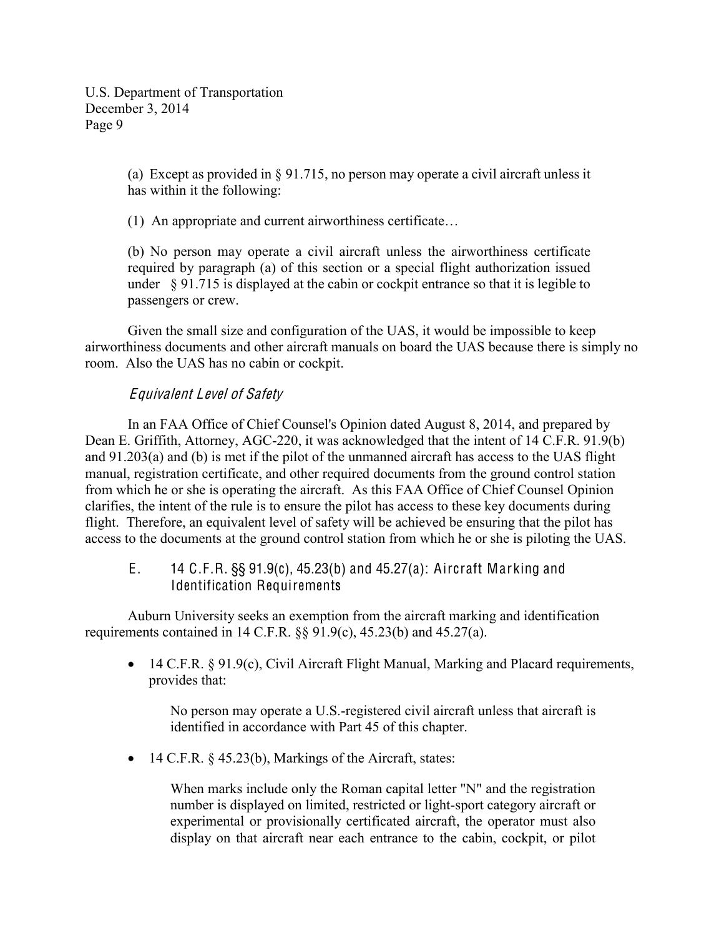> (a) Except as provided in § 91.715, no person may operate a civil aircraft unless it has within it the following:

 $(1)$  An appropriate and current airworthiness certificate...

(b) No person may operate a civil aircraft unless the airworthiness certificate required by paragraph (a) of this section or a special flight authorization issued under § 91.715 is displayed at the cabin or cockpit entrance so that it is legible to passengers or crew.

Given the small size and configuration of the UAS, it would be impossible to keep airworthiness documents and other aircraft manuals on board the UAS because there is simply no room. Also the UAS has no cabin or cockpit.

#### Equival<sup>e</sup>nt Level of Safety

In an FAA Office of Chief Counsel's Opinion dated August 8, 2014, and prepared by Dean E. Griffith, Attorney, AGC-220, it was acknowledged that the intent of 14 C.F.R. 91.9(b) and 91.203(a) and (b) is met if the pilot of the unmanned aircraft has access to the UAS flight manual, registration certificate, and other required documents from the ground control station from which he or she is operating the aircraft. As this FAA Office of Chief Counsel Opinion clarifies, the intent of the rule is to ensure the pilot has access to these key documents during flight. Therefore, an equivalent level of safety will be achieved be ensuring that the pilot has access to the documents at the ground control station from which he or she is piloting the UAS.

E. 14 C.F.R. §§ 91.9(c), 45.23(b) and 45.27(a): Aircraft Marking and Identification Requirements

Auburn University seeks an exemption from the aircraft marking and identification requirements contained in 14 C.F.R. §§ 91.9(c), 45.23(b) and 45.27(a).

• 14 C.F.R.  $§$  91.9(c), Civil Aircraft Flight Manual, Marking and Placard requirements, provides that:

No person may operate a U.S.-registered civil aircraft unless that aircraft is identified in accordance with Part 45 of this chapter.

 $\bullet$  14 C.F.R. § 45.23(b), Markings of the Aircraft, states:

When marks include only the Roman capital letter "N" and the registration number is displayed on limited, restricted or light-sport category aircraft or experimental or provisionally certificated aircraft, the operator must also display on that aircraft near each entrance to the cabin, cockpit, or pilot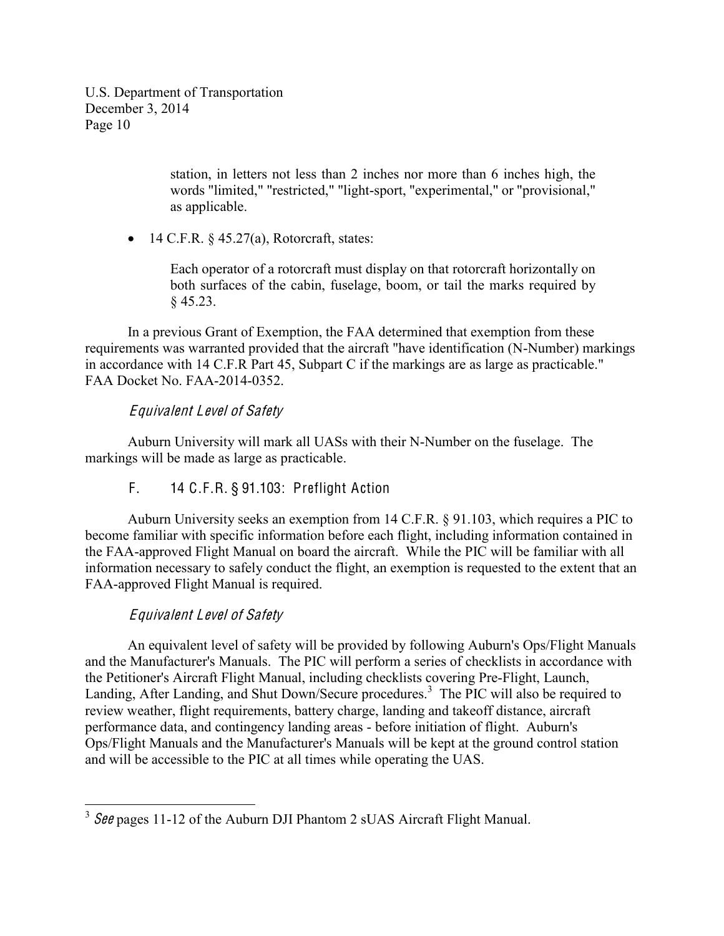> station, in letters not less than 2 inches nor more than 6 inches high, the words "limited," "restricted," "light-sport, "experimental," or "provisional," as applicable.

 $\bullet$  14 C.F.R. § 45.27(a), Rotorcraft, states:

Each operator of a rotorcraft must display on that rotorcraft horizontally on both surfaces of the cabin, fuselage, boom, or tail the marks required by § 45.23.

In a previous Grant of Exemption, the FAA determined that exemption from these requirements was warranted provided that the aircraft "have identification (N-Number) markings in accordance with 14 C.F.R Part 45, Subpart C if the markings are as large as practicable." FAA Docket No. FAA-2014-0352.

## Equival<sup>e</sup>nt Level of Safety

Auburn University will mark all UASs with their N-Number on the fuselage. The markings will be made as large as practicable.

F. 14 C.F.R. § 91.103: Preflight Action

Auburn University seeks an exemption from 14 C.F.R. § 91.103, which requires a PIC to become familiar with specific information before each flight, including information contained in the FAA-approved Flight Manual on board the aircraft. While the PIC will be familiar with all information necessary to safely conduct the flight, an exemption is requested to the extent that an FAA-approved Flight Manual is required.

# Equival<sup>e</sup>nt Level of Safety

An equivalent level of safety will be provided by following Auburn's Ops/Flight Manuals and the Manufacturer's Manuals. The PIC will perform a series of checklists in accordance with the Petitioner's Aircraft Flight Manual, including checklists covering Pre-Flight, Launch, Landing, After Landing, and Shut Down/Secure procedures.<sup>3</sup> The PIC will also be required to review weather, flight requirements, battery charge, landing and takeoff distance, aircraft performance data, and contingency landing areas - before initiation of flight. Auburn's Ops/Flight Manuals and the Manufacturer's Manuals will be kept at the ground control station and will be accessible to the PIC at all times while operating the UAS.

 $3$  See pages 11-12 of the Auburn DJI Phantom 2 sUAS Aircraft Flight Manual.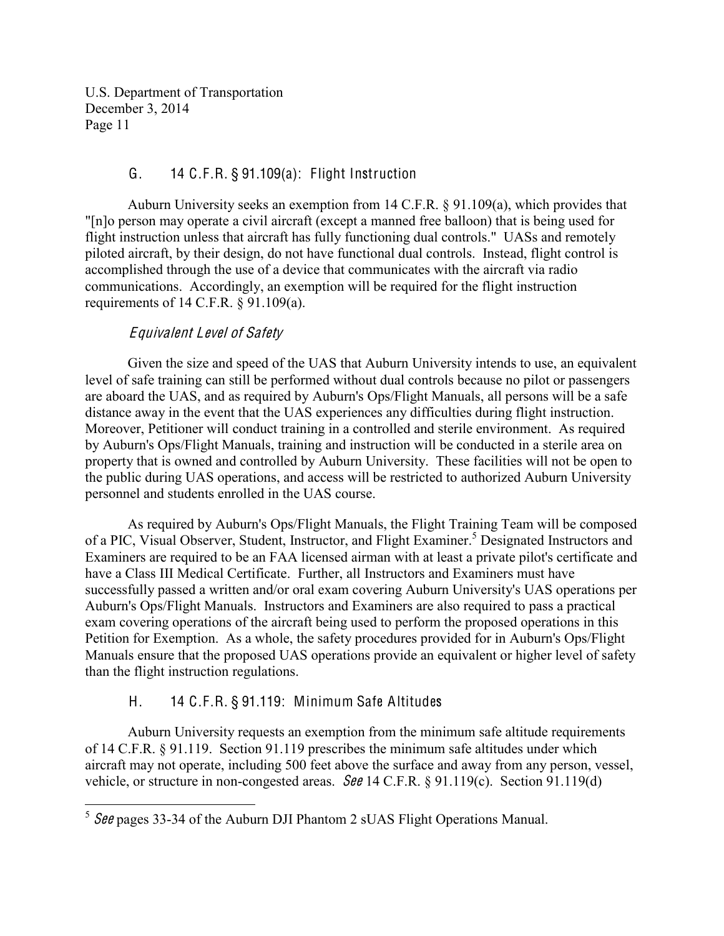## G. 14 C.F.R. § 91.109(a): Flight Instruction

Auburn University seeks an exemption from 14 C.F.R. § 91.109(a), which provides that "[n]o person may operate a civil aircraft (except a manned free balloon) that is being used for flight instruction unless that aircraft has fully functioning dual controls." UASs and remotely piloted aircraft, by their design, do not have functional dual controls. Instead, flight control is accomplished through the use of a device that communicates with the aircraft via radio communications. Accordingly, an exemption will be required for the flight instruction requirements of 14 C.F.R. § 91.109(a).

## Equival<sup>e</sup>nt Level of Safety

Given the size and speed of the UAS that Auburn University intends to use, an equivalent level of safe training can still be performed without dual controls because no pilot or passengers are aboard the UAS, and as required by Auburn's Ops/Flight Manuals, all persons will be a safe distance away in the event that the UAS experiences any difficulties during flight instruction. Moreover, Petitioner will conduct training in a controlled and sterile environment. As required by Auburn's Ops/Flight Manuals, training and instruction will be conducted in a sterile area on property that is owned and controlled by Auburn University. These facilities will not be open to the public during UAS operations, and access will be restricted to authorized Auburn University personnel and students enrolled in the UAS course.

As required by Auburn's Ops/Flight Manuals, the Flight Training Team will be composed of a PIC, Visual Observer, Student, Instructor, and Flight Examiner. <sup>5</sup> Designated Instructors and Examiners are required to be an FAA licensed airman with at least a private pilot's certificate and have a Class III Medical Certificate. Further, all Instructors and Examiners must have successfully passed a written and/or oral exam covering Auburn University's UAS operations per Auburn's Ops/Flight Manuals. Instructors and Examiners are also required to pass a practical exam covering operations of the aircraft being used to perform the proposed operations in this Petition for Exemption. As a whole, the safety procedures provided for in Auburn's Ops/Flight Manuals ensure that the proposed UAS operations provide an equivalent or higher level of safety than the flight instruction regulations.

# H. 14 C.F.R. § 91.119: Minimum Safe Altitudes

Auburn University requests an exemption from the minimum safe altitude requirements of 14 C.F.R. § 91.119. Section 91.119 prescribes the minimum safe altitudes under which aircraft may not operate, including 500 feet above the surface and away from any person, vessel, vehicle, or structure in non-congested areas. See 14 C.F.R. § 91.119(c). Section 91.119(d)

 $5$  See pages 33-34 of the Auburn DJI Phantom 2 sUAS Flight Operations Manual.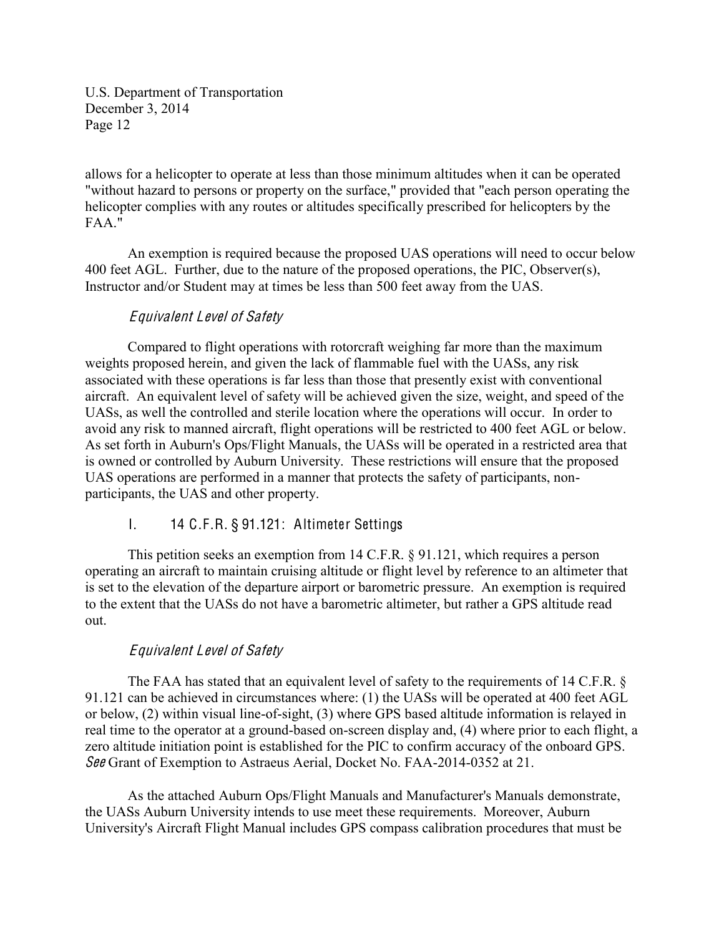allows for a helicopter to operate at less than those minimum altitudes when it can be operated "without hazard to persons or property on the surface," provided that "each person operating the helicopter complies with any routes or altitudes specifically prescribed for helicopters by the FAA"

An exemption is required because the proposed UAS operations will need to occur below 400 feet AGL. Further, due to the nature of the proposed operations, the PIC, Observer(s), Instructor and/or Student may at times be less than 500 feet away from the UAS.

## Equival<sup>e</sup>nt Level of Safety

Compared to flight operations with rotorcraft weighing far more than the maximum weights proposed herein, and given the lack of flammable fuel with the UASs, any risk associated with these operations is far less than those that presently exist with conventional aircraft. An equivalent level of safety will be achieved given the size, weight, and speed of the UASs, as well the controlled and sterile location where the operations will occur. In order to avoid any risk to manned aircraft, flight operations will be restricted to 400 feet AGL or below. As set forth in Auburn's Ops/Flight Manuals, the UASs will be operated in a restricted area that is owned or controlled by Auburn University. These restrictions will ensure that the proposed UAS operations are performed in a manner that protects the safety of participants, nonparticipants, the UAS and other property.

I. 14 C.F.R. § 91.121: Altimeter Settings

This petition seeks an exemption from 14 C.F.R. § 91.121, which requires a person operating an aircraft to maintain cruising altitude or flight level by reference to an altimeter that is set to the elevation of the departure airport or barometric pressure. An exemption is required to the extent that the UASs do not have a barometric altimeter, but rather a GPS altitude read out.

# Equival<sup>e</sup>nt Level of Safety

The FAA has stated that an equivalent level of safety to the requirements of 14 C.F.R. § 91.121 can be achieved in circumstances where: (1) the UASs will be operated at 400 feet AGL or below, (2) within visual line-of-sight, (3) where GPS based altitude information is relayed in real time to the operator at a ground-based on-screen display and, (4) where prior to each flight, a zero altitude initiation point is established for the PIC to confirm accuracy of the onboard GPS. See Grant of Exemption to Astraeus Aerial, Docket No. FAA-2014-0352 at 21.

As the attached Auburn Ops/Flight Manuals and Manufacturer's Manuals demonstrate, the UASs Auburn University intends to use meet these requirements. Moreover, Auburn University's Aircraft Flight Manual includes GPS compass calibration procedures that must be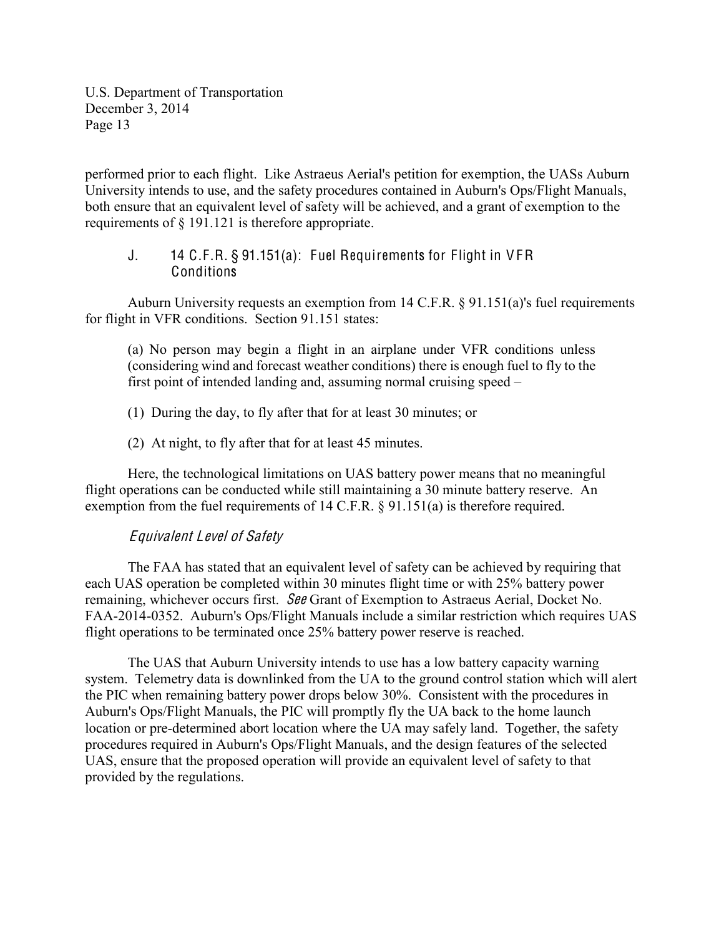performed prior to each flight. Like Astraeus Aerial's petition for exemption, the UASs Auburn University intends to use, and the safety procedures contained in Auburn's Ops/Flight Manuals, both ensure that an equivalent level of safety will be achieved, and a grant of exemption to the requirements of § 191.121 is therefore appropriate.

#### J. 14 C.F.R. § 91.151(a): Fuel Requirements for Flight in V FR Conditions

Auburn University requests an exemption from 14 C.F.R. § 91.151(a)'s fuel requirements for flight in VFR conditions. Section 91.151 states:

(a) No person may begin a flight in an airplane under VFR conditions unless (considering wind and forecast weather conditions) there is enough fuel to fly to the first point of intended landing and, assuming normal cruising speed  $-$ 

(1) During the day, to fly after that for at least 30 minutes; or

(2) At night, to fly after that for at least 45 minutes.

Here, the technological limitations on UAS battery power means that no meaningful flight operations can be conducted while still maintaining a 30 minute battery reserve. An exemption from the fuel requirements of 14 C.F.R. § 91.151(a) is therefore required.

## Equival<sup>e</sup>nt Level of Safety

The FAA has stated that an equivalent level of safety can be achieved by requiring that each UAS operation be completed within 30 minutes flight time or with 25% battery power remaining, whichever occurs first. See Grant of Exemption to Astraeus Aerial, Docket No. FAA-2014-0352. Auburn's Ops/Flight Manuals include a similar restriction which requires UAS flight operations to be terminated once 25% battery power reserve is reached.

The UAS that Auburn University intends to use has a low battery capacity warning system. Telemetry data is downlinked from the UA to the ground control station which will alert the PIC when remaining battery power drops below 30%. Consistent with the procedures in Auburn's Ops/Flight Manuals, the PIC will promptly fly the UA back to the home launch location or pre-determined abort location where the UA may safely land. Together, the safety procedures required in Auburn's Ops/Flight Manuals, and the design features of the selected UAS, ensure that the proposed operation will provide an equivalent level of safety to that provided by the regulations.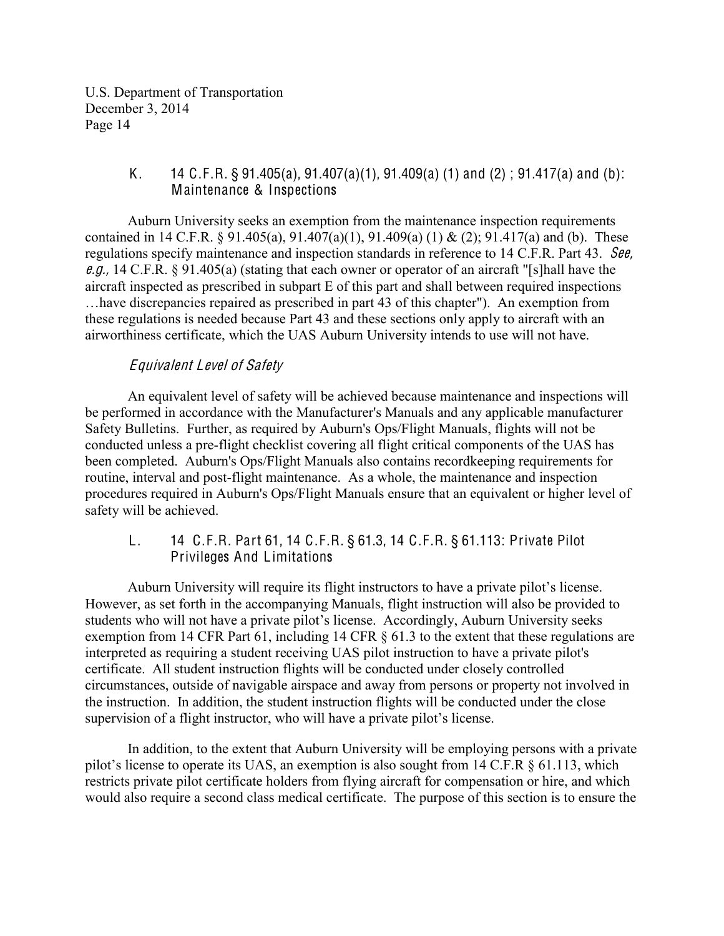### K. 14 C.F.R. § 91.405(a), 91.407(a)(1), 91.409(a) (1) and (2); 91.417(a) and (b): Maintenance & Inspections

Auburn University seeks an exemption from the maintenance inspection requirements contained in 14 C.F.R. § 91.405(a), 91.407(a)(1), 91.409(a) (1) & (2); 91.417(a) and (b). These regulations specify maintenance and inspection standards in reference to 14 C.F.R. Part 43. See, <sup>e</sup>.g., 14 C.F.R. § 91.405(a) (stating that each owner or operator of an aircraft "[s]hall have the aircraft inspected as prescribed in subpart E of this part and shall between required inspections ... have discrepancies repaired as prescribed in part 43 of this chapter"). An exemption from these regulations is needed because Part 43 and these sections only apply to aircraft with an airworthiness certificate, which the UAS Auburn University intends to use will not have.

## Equival<sup>e</sup>nt Level of Safety

An equivalent level of safety will be achieved because maintenance and inspections will be performed in accordance with the Manufacturer's Manuals and any applicable manufacturer Safety Bulletins. Further, as required by Auburn's Ops/Flight Manuals, flights will not be conducted unless a pre-flight checklist covering all flight critical components of the UAS has been completed. Auburn's Ops/Flight Manuals also contains recordkeeping requirements for routine, interval and post-flight maintenance. As a whole, the maintenance and inspection procedures required in Auburn's Ops/Flight Manuals ensure that an equivalent or higher level of safety will be achieved.

L. 14 C.F.R. Part 61, 14 C.F.R. § 61.3, 14 C.F.R. § 61.113: Private Pilot Privileges And Limitations

Auburn University will require its flight instructors to have a private pilot's license. However, as set forth in the accompanying Manuals, flight instruction will also be provided to students who will not have a private pilot's license. Accordingly, Auburn University seeks exemption from 14 CFR Part 61, including 14 CFR § 61.3 to the extent that these regulations are interpreted as requiring a student receiving UAS pilot instruction to have a private pilot's certificate. All student instruction flights will be conducted under closely controlled circumstances, outside of navigable airspace and away from persons or property not involved in the instruction. In addition, the student instruction flights will be conducted under the close supervision of a flight instructor, who will have a private pilot's license.

In addition, to the extent that Auburn University will be employing persons with a private pilot's license to operate its UAS, an exemption is also sought from 14 C.F.R  $\S$  61.113, which restricts private pilot certificate holders from flying aircraft for compensation or hire, and which would also require a second class medical certificate. The purpose of this section is to ensure the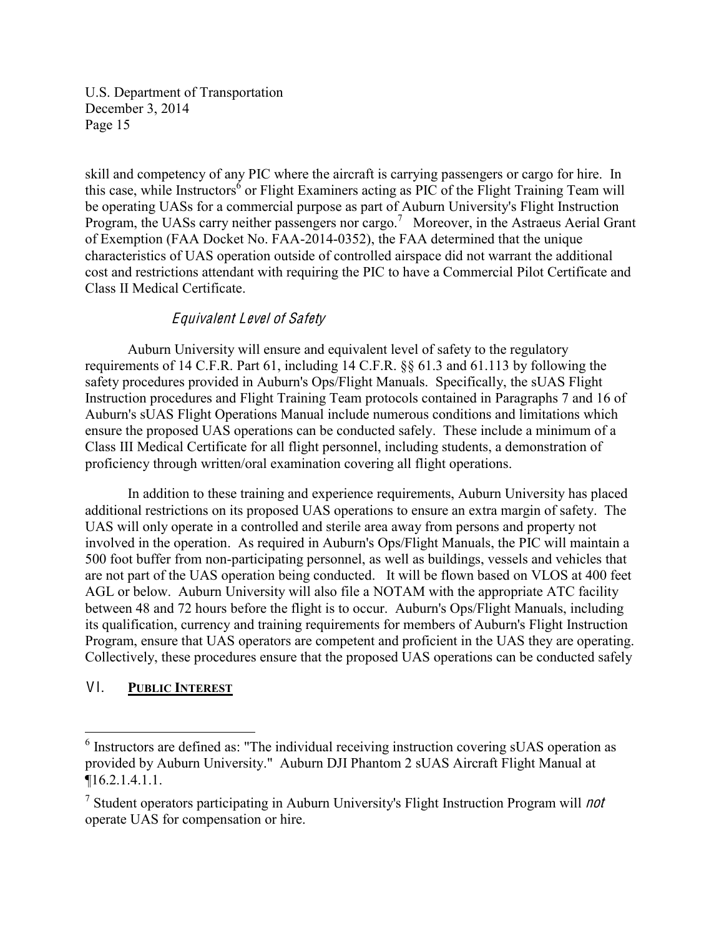skill and competency of any PIC where the aircraft is carrying passengers or cargo for hire. In this case, while Instructors<sup>6</sup> or Flight Examiners acting as PIC of the Flight Training Team will be operating UASs for a commercial purpose as part of Auburn University's Flight Instruction Program, the UASs carry neither passengers nor cargo.<sup>7</sup> Moreover, in the Astraeus Aerial Grant of Exemption (FAA Docket No. FAA-2014-0352), the FAA determined that the unique characteristics of UAS operation outside of controlled airspace did not warrant the additional cost and restrictions attendant with requiring the PIC to have a Commercial Pilot Certificate and Class II Medical Certificate.

## Equival<sup>e</sup>nt Level of Safety

Auburn University will ensure and equivalent level of safety to the regulatory requirements of 14 C.F.R. Part 61, including 14 C.F.R. §§ 61.3 and 61.113 by following the safety procedures provided in Auburn's Ops/Flight Manuals. Specifically, the sUAS Flight Instruction procedures and Flight Training Team protocols contained in Paragraphs 7 and 16 of Auburn's sUAS Flight Operations Manual include numerous conditions and limitations which ensure the proposed UAS operations can be conducted safely. These include a minimum of a Class III Medical Certificate for all flight personnel, including students, a demonstration of proficiency through written/oral examination covering all flight operations.

In addition to these training and experience requirements, Auburn University has placed additional restrictions on its proposed UAS operations to ensure an extra margin of safety. The UAS will only operate in a controlled and sterile area away from persons and property not involved in the operation. As required in Auburn's Ops/Flight Manuals, the PIC will maintain a 500 foot buffer from non-participating personnel, as well as buildings, vessels and vehicles that are not part of the UAS operation being conducted. It will be flown based on VLOS at 400 feet AGL or below. Auburn University will also file a NOTAM with the appropriate ATC facility between 48 and 72 hours before the flight is to occur. Auburn's Ops/Flight Manuals, including its qualification, currency and training requirements for members of Auburn's Flight Instruction Program, ensure that UAS operators are competent and proficient in the UAS they are operating. Collectively, these procedures ensure that the proposed UAS operations can be conducted safely

## VI. **PUBLIC INTEREST**

 <sup>6</sup> Instructors are defined as: "The individual receiving instruction covering sUAS operation as provided by Auburn University." Auburn DJI Phantom 2 sUAS Aircraft Flight Manual at ¶16.2.1.4.1.1.

<sup>&</sup>lt;sup>7</sup> Student operators participating in Auburn University's Flight Instruction Program will *not* operate UAS for compensation or hire.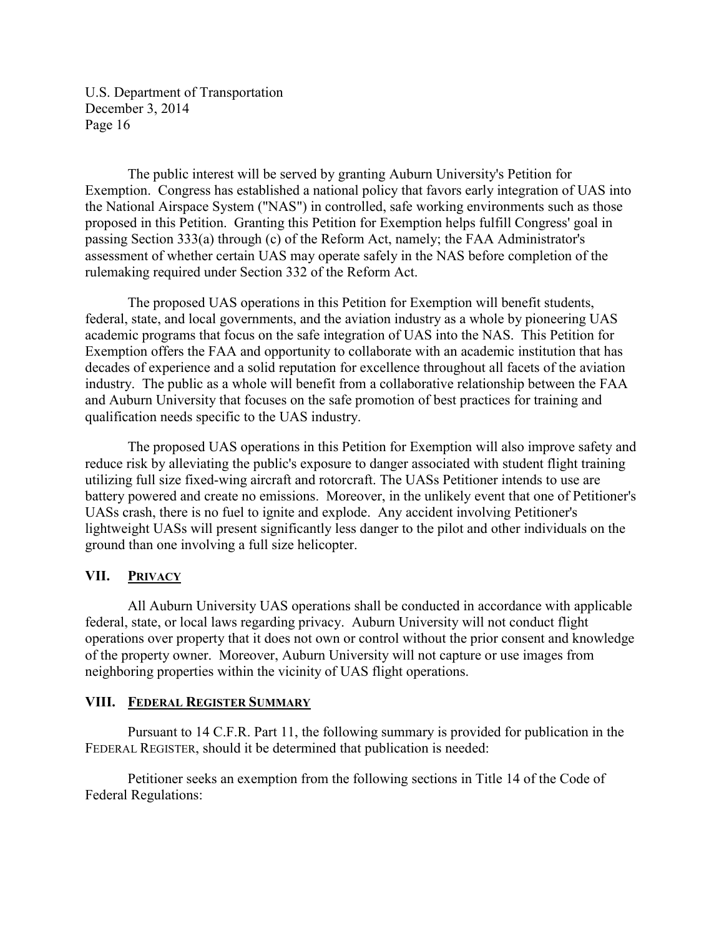The public interest will be served by granting Auburn University's Petition for Exemption. Congress has established a national policy that favors early integration of UAS into the National Airspace System ("NAS") in controlled, safe working environments such as those proposed in this Petition. Granting this Petition for Exemption helps fulfill Congress' goal in passing Section 333(a) through (c) of the Reform Act, namely; the FAA Administrator's assessment of whether certain UAS may operate safely in the NAS before completion of the rulemaking required under Section 332 of the Reform Act.

The proposed UAS operations in this Petition for Exemption will benefit students, federal, state, and local governments, and the aviation industry as a whole by pioneering UAS academic programs that focus on the safe integration of UAS into the NAS. This Petition for Exemption offers the FAA and opportunity to collaborate with an academic institution that has decades of experience and a solid reputation for excellence throughout all facets of the aviation industry. The public as a whole will benefit from a collaborative relationship between the FAA and Auburn University that focuses on the safe promotion of best practices for training and qualification needs specific to the UAS industry.

The proposed UAS operations in this Petition for Exemption will also improve safety and reduce risk by alleviating the public's exposure to danger associated with student flight training utilizing full size fixed-wing aircraft and rotorcraft. The UASs Petitioner intends to use are battery powered and create no emissions. Moreover, in the unlikely event that one of Petitioner's UASs crash, there is no fuel to ignite and explode. Any accident involving Petitioner's lightweight UASs will present significantly less danger to the pilot and other individuals on the ground than one involving a full size helicopter.

#### **VII. PRIVACY**

All Auburn University UAS operations shall be conducted in accordance with applicable federal, state, or local laws regarding privacy. Auburn University will not conduct flight operations over property that it does not own or control without the prior consent and knowledge of the property owner. Moreover, Auburn University will not capture or use images from neighboring properties within the vicinity of UAS flight operations.

#### **VIII. FEDERAL#REGISTER SUMMARY**

Pursuant to 14 C.F.R. Part 11, the following summary is provided for publication in the FEDERAL REGISTER, should it be determined that publication is needed:

Petitioner seeks an exemption from the following sections in Title 14 of the Code of Federal Regulations: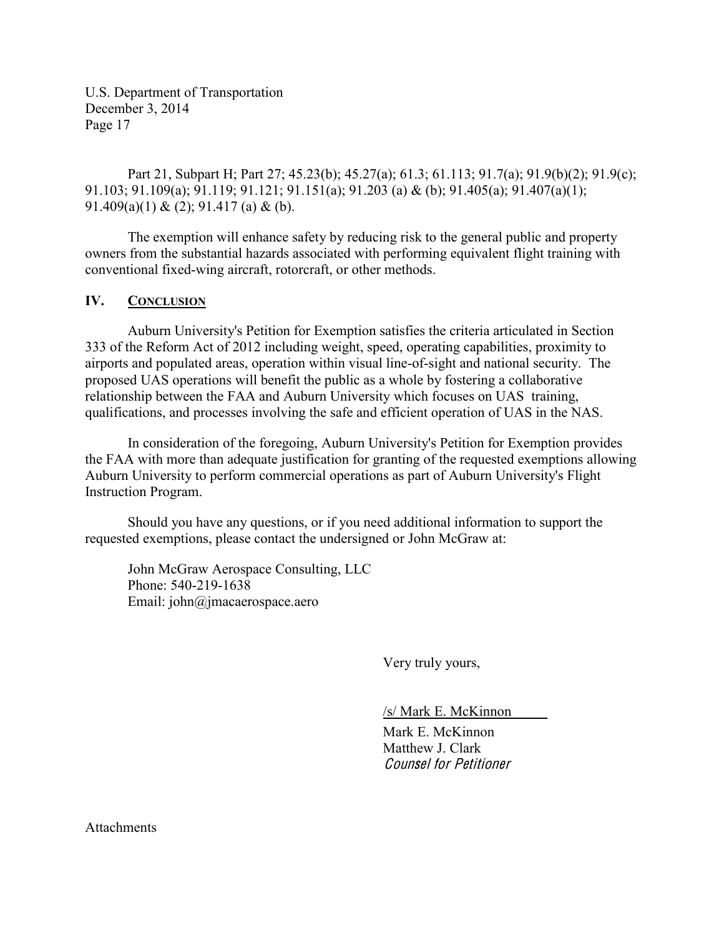Part 21, Subpart H; Part 27; 45.23(b); 45.27(a); 61.3; 61.113; 91.7(a); 91.9(b)(2); 91.9(c); 91.103; 91.109(a); 91.119; 91.121; 91.151(a); 91.203 (a) & (b); 91.405(a); 91.407(a)(1); 91.409(a)(1) & (2); 91.417 (a) & (b).

The exemption will enhance safety by reducing risk to the general public and property owners from the substantial hazards associated with performing equivalent flight training with conventional fixed-wing aircraft, rotorcraft, or other methods.

#### **IV. CONCLUSION**

Auburn University's Petition for Exemption satisfies the criteria articulated in Section 333 of the Reform Act of 2012 including weight, speed, operating capabilities, proximity to airports and populated areas, operation within visual line-of-sight and national security. The proposed UAS operations will benefit the public as a whole by fostering a collaborative relationship between the FAA and Auburn University which focuses on UAS training, qualifications, and processes involving the safe and efficient operation of UAS in the NAS.

In consideration of the foregoing, Auburn University's Petition for Exemption provides the FAA with more than adequate justification for granting of the requested exemptions allowing Auburn University to perform commercial operations as part of Auburn University's Flight Instruction Program.

Should you have any questions, or if you need additional information to support the requested exemptions, please contact the undersigned or John McGraw at:

John McGraw Aerospace Consulting, LLC Phone: 540-219-1638 Email: john@jmacaerospace.aero

Very truly yours,

/s/ Mark E. McKinnon\_\_\_\_\_

Mark E. McKinnon Matthew J. Clark Counsel for Petitioner

**Attachments**